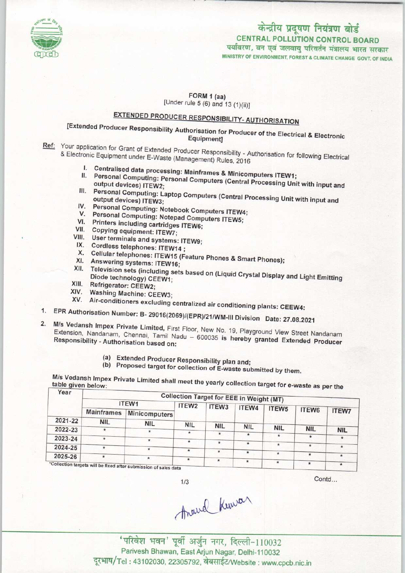

## कोन्द्रीय प्रदूषण नियंत्रण बोर्ड<br>TRAL POLLUTION CONTROL BO CENTRAL POLLUTION CONTROL BOARD

MINISTRY OF ENVIRONMENT, FOREST & CLIMATE CHANGE 60VT, OF INDIA

## FORM 1 (aa) [Under rule 5 (6) and 13 (1)(ii)]

## EXTENDED PRODUCER RESPONSIBILITY- AUTHORISATION

[Extended Producer Responsibility Authorisation for Producer of the Electrical & Electronic Equipment]

Ref: Your application for Grant of Extended Producer Responsibility - Authorisation for Grant of Extended Producer Responsibility of Authorisation for Grant of Extended Producer Responsibility of Authorisation for Grant of & Electronic Equipment under F-Waste (Management) Rules, 2016

- onic Equipment under E-Waste (Management) Rules, 2016<br>I. Centralised data processing: Mainframes & Minicomputers ITEW4
- I. Centralised data processing: Mainframes & Minicomputers ITEW1;<br>II. Personal Computing: Personal Computers (Central Processing Unit With With III. Personal Computing: Personal Computers (Central Processing Unit with input and Unit devices) ITEW2;<br>III. Personal Computing: Laptop Computers (Central Processing Unit with input and Computing: Laptop Computers (Centra
- Personal Computing: Laptop Computers (Central Processing Unit with input and IV. Personal Computing: Laptop Computers (Central Foutput devices) ITEW3;<br>IV. Personal Computing: Notebook Computers ITEW4
- V. Personal Computing: Notebook Computers ITEW<br>V. Personal Computing: Notebook Computers ITEW5
- V. Personal Computing: Notepad Computers ITEW5;
- VI. Printers including cartridges ITEW6;<br>VII. Copying equipment: ITEW7;
- 
- VII. Copying equipment: ITEW7;<br>VIII. User terminals and systems: ITEW9;<br>IX. Cordless telephones: ITEW14;
- 
- X. Cordless telephones: ITEW14 ;<br>X. Cordless telephones: ITEW14 ;<br>X. Cellular telephones: ITEW15 (Feature Phones & Smart Phones); X. Cellular telephones: ITEW16<br>XI. Answering systems: ITEW16;
- 
- XI. Answering systems: ITEW19 (Feature Phones & Smart Phones);<br>XII. Television sets (including sets based on (Liquid Crystal Display and Light Emitting) Diode technology) CEEW1: Diode technology) CEEW1;<br>XIII. Refrigerator: CEEW2;
- 
- XIV. Washing Machine: CEEW3;
- XIV. Avashing Machine: CEEW3;<br>XV. Air-conditioners excluding centralized air conditioning plants: CEEW4: 1. XV. Air-conditioners excluding centralized air conditioning plants: CEEW4:<br>1. EPR Authorisation Number: B- 29016(2069)/(EPR)/21/WM-III Division - Date: 27.08.2021
- 1. EPR Authorisation Number: B- 29016(2069)/(EPR)/21/WM-III Division Date: 27.08.2021
- M/s Vedansh Impex Private Limited, First Floor, New No. 19, Playground View Street Nandanam<br>Extension, Nandanam, Chennai, Tamil Nadu 600035 is hereby granted Extended Producer<br>Responsibility Authorisation based on: Extension, Nandanam, Chennai, Tamil Nadu - 600035 is hereby granted Extended Producer
	- (a)Extended Producer Responsibility plan and;

(b) Proposed target for collection of E-waste submitted by them.

M/s Vedansh Impex Private Limited shall meet the yearstern target as performance as perthermody collection to a table given below:

| Year    | <b>Collection Target for EEE in Weight (MT)</b> |                                                                             |            |            |            |            |            |              |  |  |
|---------|-------------------------------------------------|-----------------------------------------------------------------------------|------------|------------|------------|------------|------------|--------------|--|--|
|         | ITEW1                                           | ITEW <sub>2</sub>                                                           | ITEW3      | ITEW4      |            |            |            |              |  |  |
|         | <b>Mainframes</b>                               | Minicomputers                                                               |            |            |            | ITEW5      | ITEW6      | <b>ITEW7</b> |  |  |
| 2021-22 | <b>NIL</b>                                      | <b>NIL</b>                                                                  |            |            |            |            |            |              |  |  |
| 2022-23 | $\star$                                         |                                                                             | <b>NIL</b> | <b>NIL</b> | <b>NIL</b> | <b>NIL</b> | <b>NIL</b> | <b>NIL</b>   |  |  |
|         |                                                 |                                                                             | $\ast$     | $\star$    | $\star$    | $\star$    |            |              |  |  |
| 2023-24 | $\star$                                         | $\star$                                                                     | ٠          | $\star$    | $\star$    |            |            |              |  |  |
| 2024-25 |                                                 | ۰                                                                           | $\star$    |            |            | ٠          | $\star$    | $\star$      |  |  |
| 2025-26 | $\star$                                         |                                                                             |            | $\star$    | $\star$    | $\star$    |            |              |  |  |
|         |                                                 | $\star$<br>*Collection targets will be fixed after submission of sales data | $\star$    |            | $\star$    | *.         | $\ast$     | $\star$      |  |  |

 $1/3$ 

Contd...

Arand Kunvar

'परिवेश भवन' पूर्वी अर्जुन नगर, दिल्ली-110032 Parivesh Bhawan, East Arjun Nagar, Delhi-110032 दूरभाष/Tel: 43102030, 22305792, वेबसाईट/Website : www.cpcb.nic.in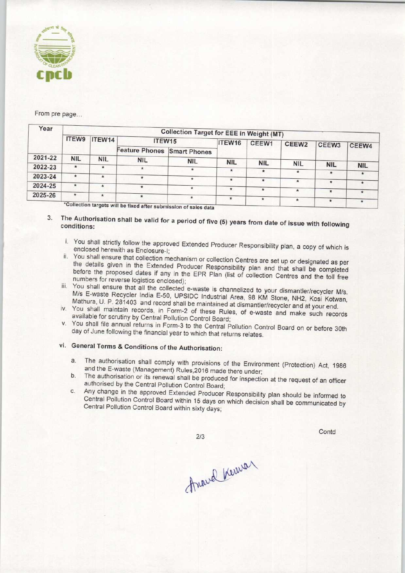

## From pre page...

| Year    | <b>Collection Target for EEE in Weight (MT)</b> |            |                                                                                                                                                                                                                                |            |            |              |            |            |            |  |
|---------|-------------------------------------------------|------------|--------------------------------------------------------------------------------------------------------------------------------------------------------------------------------------------------------------------------------|------------|------------|--------------|------------|------------|------------|--|
|         | ITEW9                                           | ITEW14     | ITEW15                                                                                                                                                                                                                         |            | ITEW16     | CEEW1        | CEEW2      | CEEW3      | CEEW4      |  |
|         |                                                 |            | Feature Phones Smart Phones                                                                                                                                                                                                    |            |            |              |            |            |            |  |
| 2021-22 | <b>NIL</b>                                      | <b>NIL</b> | <b>NIL</b>                                                                                                                                                                                                                     | <b>NIL</b> | <b>NIL</b> |              |            |            |            |  |
| 2022-23 | $\star$                                         | *          | $\star$                                                                                                                                                                                                                        |            |            | <b>NIL</b>   | <b>NIL</b> | <b>NIL</b> | <b>NIL</b> |  |
|         |                                                 |            |                                                                                                                                                                                                                                |            | $\star$    | $\star$      | $\star$    | $\star$    | $\star$    |  |
| 2023-24 | $\star$                                         |            | $\ast$                                                                                                                                                                                                                         |            | $\ast$     |              |            |            |            |  |
| 2024-25 | $\star$                                         | $\ast$     |                                                                                                                                                                                                                                |            |            | $\pmb{\ast}$ | $\star$    | $\star$    |            |  |
|         |                                                 |            | $*$                                                                                                                                                                                                                            |            | $\star$    | $\star$      | $\star$    | $\star$    |            |  |
| 2025-26 | $\star$                                         | $\star$    | $\ast$                                                                                                                                                                                                                         |            |            |              |            |            |            |  |
|         |                                                 |            | *Collection targets will be fixed offer subset of the state of the state of the state of the state of the state of the state of the state of the state of the state of the state of the state of the state of the state of the |            | $\star$    | ∗            | $\star$    |            |            |  |

targets will be fixed after submission of sales data

- 3. The Authorisation shall be valid for a period of five (5) years from date of incur with full of conditions:
	- i. You shall strictly follow the approved Extended Producer Responsibility plan, a copy of which is enclosed herewith as Enclosure-I;
	- ii. You shall ensure that collection mechanism or collection Centres are set up or designated as per the details given in the Extended Producer Responsibility plan and that shall be completed before the proposed dates if any in the EPR Plan (list of collection Centres and the toll free numbers for reverse logistics enclosed);
	- iii. You shall ensure that all the collected e-waste is channelized to your dismantler/recycler M/s. M/s E-waste Recycler India E-50, UPSIDC Industrial Area, 98 KM Stone, NH2, Kosi Kotwan, Mathura, U. P. 281403 and record shall be maintained at dismantler/recycler and at your end.
	- iv. You shall maintain records, in Form-2 of these Rules, of e-waste and make such records available for scrutiny by Central Pollution Control Board;
	- v. You shall file annual returns in Form-3 to the Central Pollution Control Board on or before 30th day of June following the financial year to which that returns relates.
	- vi. General Terms & Conditions of the Authorisation:
		- a.The authorisation shall comply with provisions of the Environment (Protection) Act, <sup>1986</sup> and the E-waste (Management) Rules,2016 made there under;
		- b. The authorisation or its renewal shall be produced for inspection at the request of an officer authorised by the Central Pollution Control Board;
		- c. Any change in the approved Extended Producer Responsibility plan should be informed to Central Pollution Control Board within 15 days on which decision shall be communicated by Central Pollution Control Board within sixty days;

 $2/3$ 

Contd

Arand Kowa